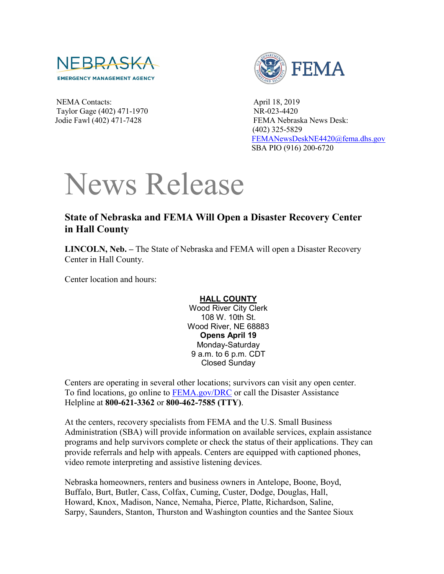

NEMA Contacts: April 18, 2019 Taylor Gage (402) 471-1970 NR-023-4420



Jodie Fawl (402) 471-7428 FEMA Nebraska News Desk: (402) 325-5829 [FEMANewsDeskNE4420@fema.dhs.gov](mailto:FEMANewsDeskNE4420@fema.dhs.gov) SBA PIO (916) 200-6720

## News Release

## **State of Nebraska and FEMA Will Open a Disaster Recovery Center in Hall County**

**LINCOLN, Neb.** – The State of Nebraska and FEMA will open a Disaster Recovery Center in Hall County.

Center location and hours:

## **HALL COUNTY**

Wood River City Clerk 108 W. 10th St. Wood River, NE 68883 **Opens April 19** Monday-Saturday 9 a.m. to 6 p.m. CDT Closed Sunday

Centers are operating in several other locations; survivors can visit any open center. To find locations, go online to [FEMA.gov/DRC](http://www.fema.gov/DRC) or call the Disaster Assistance Helpline at **800-621-3362** or **800-462-7585 (TTY)**.

At the centers, recovery specialists from FEMA and the U.S. Small Business Administration (SBA) will provide information on available services, explain assistance programs and help survivors complete or check the status of their applications. They can provide referrals and help with appeals. Centers are equipped with captioned phones, video remote interpreting and assistive listening devices.

Nebraska homeowners, renters and business owners in Antelope, Boone, Boyd, Buffalo, Burt, Butler, Cass, Colfax, Cuming, Custer, Dodge, Douglas, Hall, Howard, Knox, Madison, Nance, Nemaha, Pierce, Platte, Richardson, Saline, Sarpy, Saunders, Stanton, Thurston and Washington counties and the Santee Sioux